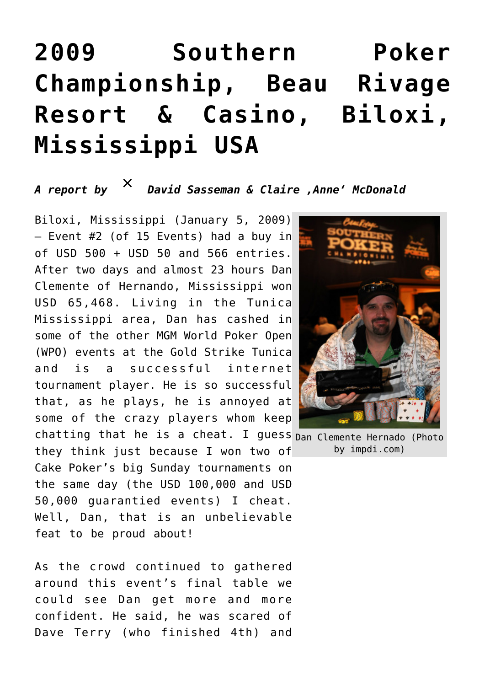## **[2009 Southern Poker](https://www.isa-guide.de/english-news/articles/24201.html) [Championship, Beau Rivage](https://www.isa-guide.de/english-news/articles/24201.html) [Resort & Casino, Biloxi,](https://www.isa-guide.de/english-news/articles/24201.html) [Mississippi USA](https://www.isa-guide.de/english-news/articles/24201.html)**

## *A report by [David Sasseman](mailto:davidsasseman@yahoo.com) & Claire 'Anne' McDonald*

chatting that he is a cheat. I guess Dan Clemente Hernado (Photo Biloxi, Mississippi (January 5, 2009) – Event #2 (of 15 Events) had a buy in of USD 500 + USD 50 and 566 entries. After two days and almost 23 hours Dan Clemente of Hernando, Mississippi won USD 65,468. Living in the Tunica Mississippi area, Dan has cashed in some of the other MGM World Poker Open (WPO) events at the Gold Strike Tunica and is a successful internet tournament player. He is so successful that, as he plays, he is annoyed at some of the crazy players whom keep they think just because I won two of

Cake Poker's big Sunday tournaments on the same day (the USD 100,000 and USD 50,000 guarantied events) I cheat. Well, Dan, that is an unbelievable feat to be proud about!

As the crowd continued to gathered around this event's final table we could see Dan get more and more confident. He said, he was scared of Dave Terry (who finished 4th) and



by impdi.com)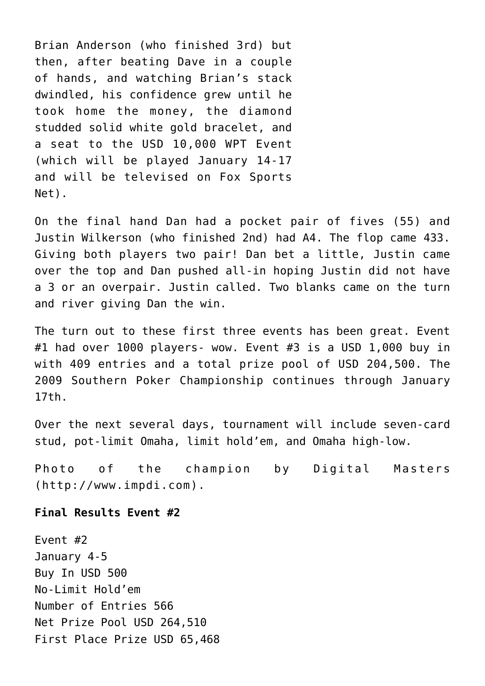Brian Anderson (who finished 3rd) but then, after beating Dave in a couple of hands, and watching Brian's stack dwindled, his confidence grew until he took home the money, the diamond studded solid white gold bracelet, and a seat to the USD 10,000 WPT Event (which will be played January 14-17 and will be televised on Fox Sports Net).

On the final hand Dan had a pocket pair of fives (55) and Justin Wilkerson (who finished 2nd) had A4. The flop came 433. Giving both players two pair! Dan bet a little, Justin came over the top and Dan pushed all-in hoping Justin did not have a 3 or an overpair. Justin called. Two blanks came on the turn and river giving Dan the win.

The turn out to these first three events has been great. Event #1 had over 1000 players- wow. Event #3 is a USD 1,000 buy in with 409 entries and a total prize pool of USD 204,500. The 2009 Southern Poker Championship continues through January 17th.

Over the next several days, tournament will include seven-card stud, pot-limit Omaha, limit hold'em, and Omaha high-low.

Photo of the champion by Digital Masters (http://www.impdi.com).

## **Final Results Event #2**

Event #2 January 4-5 Buy In USD 500 No-Limit Hold'em Number of Entries 566 Net Prize Pool USD 264,510 First Place Prize USD 65,468